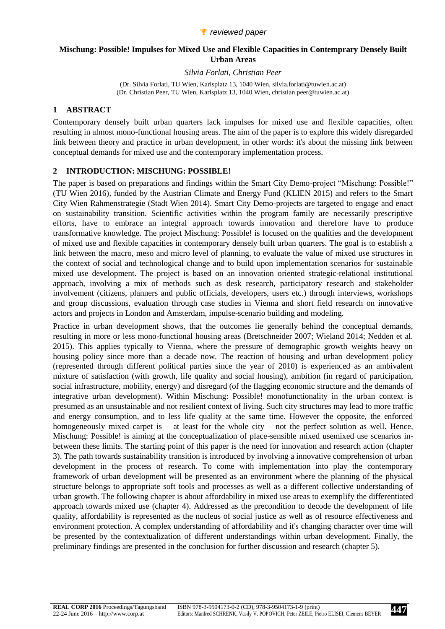#### *P* reviewed paper

## **Mischung: Possible! Impulses for Mixed Use and Flexible Capacities in Contemprary Densely Built Urban Areas**

*Silvia Forlati, Christian Peer*

(Dr. Silvia Forlati, TU Wien, Karlsplatz 13, 1040 Wien, silvia.forlati@tuwien.ac.at) (Dr. Christian Peer, TU Wien, Karlsplatz 13, 1040 Wien, christian.peer@tuwien.ac.at)

### **1 ABSTRACT**

Contemporary densely built urban quarters lack impulses for mixed use and flexible capacities, often resulting in almost mono-functional housing areas. The aim of the paper is to explore this widely disregarded link between theory and practice in urban development, in other words: it's about the missing link between conceptual demands for mixed use and the contemporary implementation process.

### **2 INTRODUCTION: MISCHUNG: POSSIBLE!**

The paper is based on preparations and findings within the Smart City Demo-project "Mischung: Possible!" (TU Wien 2016), funded by the Austrian Climate and Energy Fund (KLIEN 2015) and refers to the Smart City Wien Rahmenstrategie (Stadt Wien 2014). Smart City Demo-projects are targeted to engage and enact on sustainability transition. Scientific activities within the program family are necessarily prescriptive efforts, have to embrace an integral approach towards innovation and therefore have to produce transformative knowledge. The project Mischung: Possible! is focused on the qualities and the development of mixed use and flexible capacities in contemporary densely built urban quarters. The goal is to establish a link between the macro, meso and micro level of planning, to evaluate the value of mixed use structures in the context of social and technological change and to build upon implementation scenarios for sustainable mixed use development. The project is based on an innovation oriented strategic-relational institutional approach, involving a mix of methods such as desk research, participatory research and stakeholder involvement (citizens, planners and public officials, developers, users etc.) through interviews, workshops and group discussions, evaluation through case studies in Vienna and short field research on innovative actors and projects in London and Amsterdam, impulse-scenario building and modeling.

Practice in urban development shows, that the outcomes lie generally behind the conceptual demands, resulting in more or less mono-functional housing areas (Bretschneider 2007; Wieland 2014; Nedden et al. 2015). This applies typically to Vienna, where the pressure of demographic growth weights heavy on housing policy since more than a decade now. The reaction of housing and urban development policy (represented through different political parties since the year of 2010) is experienced as an ambivalent mixture of satisfaction (with growth, life quality and social housing), ambition (in regard of participation, social infrastructure, mobility, energy) and disregard (of the flagging economic structure and the demands of integrative urban development). Within Mischung: Possible! monofunctionality in the urban context is presumed as an unsustainable and not resilient context of living. Such city structures may lead to more traffic and energy consumption, and to less life quality at the same time. However the opposite, the enforced homogeneously mixed carpet is – at least for the whole city – not the perfect solution as well. Hence, Mischung: Possible! is aiming at the conceptualization of place-sensible mixed usemixed use scenarios inbetween these limits. The starting point of this paper is the need for innovation and research action (chapter 3). The path towards sustainability transition is introduced by involving a innovative comprehension of urban development in the process of research. To come with implementation into play the contemporary framework of urban development will be presented as an environment where the planning of the physical structure belongs to appropriate soft tools and processes as well as a different collective understanding of urban growth. The following chapter is about affordability in mixed use areas to exemplify the differentiated approach towards mixed use (chapter 4). Addressed as the precondition to decode the development of life quality, affordability is represented as the nucleus of social justice as well as of resource effectiveness and environment protection. A complex understanding of affordability and it's changing character over time will be presented by the contextualization of different understandings within urban development. Finally, the preliminary findings are presented in the conclusion for further discussion and research (chapter 5).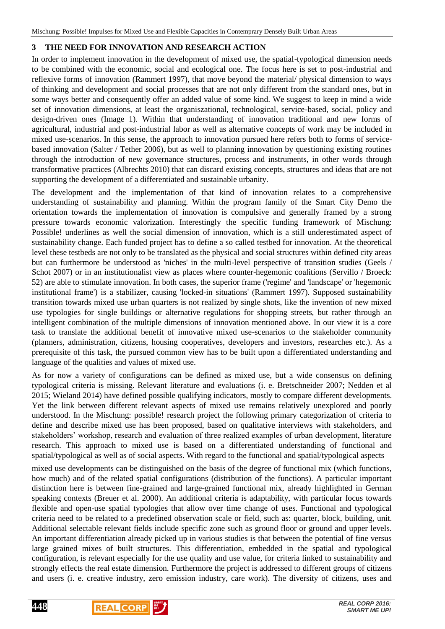# **3 THE NEED FOR INNOVATION AND RESEARCH ACTION**

In order to implement innovation in the development of mixed use, the spatial-typological dimension needs to be combined with the economic, social and ecological one. The focus here is set to post-industrial and reflexive forms of innovation (Rammert 1997), that move beyond the material/ physical dimension to ways of thinking and development and social processes that are not only different from the standard ones, but in some ways better and consequently offer an added value of some kind. We suggest to keep in mind a wide set of innovation dimensions, at least the organiszational, technological, service-based, social, policy and design-driven ones (Image 1). Within that understanding of innovation traditional and new forms of agricultural, industrial and post-industrial labor as well as alternative concepts of work may be included in mixed use-scenarios. In this sense, the approach to innovation pursued here refers both to forms of servicebased innovation (Salter / Tether 2006), but as well to planning innovation by questioning existing routines through the introduction of new governance structures, process and instruments, in other words through transformative practices (Albrechts 2010) that can discard existing concepts, structures and ideas that are not supporting the development of a differentiated and sustainable urbanity.

The development and the implementation of that kind of innovation relates to a comprehensive understanding of sustainability and planning. Within the program family of the Smart City Demo the orientation towards the implementation of innovation is compulsive and generally framed by a strong pressure towards economic valorization. Interestingly the specific funding framework of Mischung: Possible! underlines as well the social dimension of innovation, which is a still underestimated aspect of sustainability change. Each funded project has to define a so called testbed for innovation. At the theoretical level these testbeds are not only to be translated as the physical and social structures within defined city areas but can furthermore be understood as 'niches' in the multi-level perspective of transition studies (Geels / Schot 2007) or in an institutionalist view as places where counter-hegemonic coalitions (Servillo / Broeck: 52) are able to stimulate innovation. In both cases, the superior frame ('regime' and 'landscape' or 'hegemonic institutional frame') is a stabilizer, causing 'locked-in situations' (Rammert 1997). Supposed sustainability transition towards mixed use urban quarters is not realized by single shots, like the invention of new mixed use typologies for single buildings or alternative regulations for shopping streets, but rather through an intelligent combination of the multiple dimensions of innovation mentioned above. In our view it is a core task to translate the additional benefit of innovative mixed use-scenarios to the stakeholder community (planners, administration, citizens, housing cooperatives, developers and investors, researches etc.). As a prerequisite of this task, the pursued common view has to be built upon a differentiated understanding and language of the qualities and values of mixed use.

As for now a variety of configurations can be defined as mixed use, but a wide consensus on defining typological criteria is missing. Relevant literature and evaluations (i. e. Bretschneider 2007; Nedden et al 2015; Wieland 2014) have defined possible qualifying indicators, mostly to compare different developments. Yet the link between different relevant aspects of mixed use remains relatively unexplored and poorly understood. In the Mischung: possible! research project the following primary categorization of criteria to define and describe mixed use has been proposed, based on qualitative interviews with stakeholders, and stakeholders' workshop, research and evaluation of three realized examples of urban development, literature research. This approach to mixed use is based on a differentiated understanding of functional and spatial/typological as well as of social aspects. With regard to the functional and spatial/typological aspects

mixed use developments can be distinguished on the basis of the degree of functional mix (which functions, how much) and of the related spatial configurations (distribution of the functions). A particular important distinction here is between fine-grained and large-grained functional mix, already highlighted in German speaking contexts (Breuer et al. 2000). An additional criteria is adaptability, with particular focus towards flexible and open-use spatial typologies that allow over time change of uses. Functional and typological criteria need to be related to a predefined observation scale or field, such as: quarter, block, building, unit. Additional selectable relevant fields include specific zone such as ground floor or ground and upper levels. An important differentiation already picked up in various studies is that between the potential of fine versus large grained mixes of built structures. This differentiation, embedded in the spatial and typological configuration, is relevant especially for the use quality and use value, for criteria linked to sustainability and strongly effects the real estate dimension. Furthermore the project is addressed to different groups of citizens and users (i. e. creative industry, zero emission industry, care work). The diversity of citizens, uses and

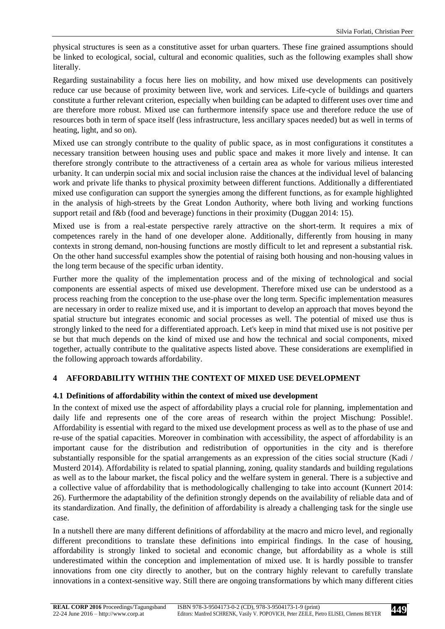physical structures is seen as a constitutive asset for urban quarters. These fine grained assumptions should be linked to ecological, social, cultural and economic qualities, such as the following examples shall show literally.

Regarding sustainability a focus here lies on mobility, and how mixed use developments can positively reduce car use because of proximity between live, work and services. Life-cycle of buildings and quarters constitute a further relevant criterion, especially when building can be adapted to different uses over time and are therefore more robust. Mixed use can furthermore intensify space use and therefore reduce the use of resources both in term of space itself (less infrastructure, less ancillary spaces needed) but as well in terms of heating, light, and so on).

Mixed use can strongly contribute to the quality of public space, as in most configurations it constitutes a necessary transition between housing uses and public space and makes it more lively and intense. It can therefore strongly contribute to the attractiveness of a certain area as whole for various milieus interested urbanity. It can underpin social mix and social inclusion raise the chances at the individual level of balancing work and private life thanks to physical proximity between different functions. Additionally a differentiated mixed use configuration can support the synergies among the different functions, as for example highlighted in the analysis of high-streets by the Great London Authority, where both living and working functions support retail and f&b (food and beverage) functions in their proximity (Duggan 2014: 15).

Mixed use is from a real-estate perspective rarely attractive on the short-term. It requires a mix of competences rarely in the hand of one developer alone. Additionally, differently from housing in many contexts in strong demand, non-housing functions are mostly difficult to let and represent a substantial risk. On the other hand successful examples show the potential of raising both housing and non-housing values in the long term because of the specific urban identity.

Further more the quality of the implementation process and of the mixing of technological and social components are essential aspects of mixed use development. Therefore mixed use can be understood as a process reaching from the conception to the use-phase over the long term. Specific implementation measures are necessary in order to realize mixed use, and it is important to develop an approach that moves beyond the spatial structure but integrates economic and social processes as well. The potential of mixed use thus is strongly linked to the need for a differentiated approach. Let's keep in mind that mixed use is not positive per se but that much depends on the kind of mixed use and how the technical and social components, mixed together, actually contribute to the qualitative aspects listed above. These considerations are exemplified in the following approach towards affordability.

## **4 AFFORDABILITY WITHIN THE CONTEXT OF MIXED USE DEVELOPMENT**

#### **4.1 Definitions of affordability within the context of mixed use development**

In the context of mixed use the aspect of affordability plays a crucial role for planning, implementation and daily life and represents one of the core areas of research within the project Mischung: Possible!. Affordability is essential with regard to the mixed use development process as well as to the phase of use and re-use of the spatial capacities. Moreover in combination with accessibility, the aspect of affordability is an important cause for the distribution and redistribution of opportunities in the city and is therefore substantially responsible for the spatial arrangements as an expression of the cities social structure (Kadi / Musterd 2014). Affordability is related to spatial planning, zoning, quality standards and building regulations as well as to the labour market, the fiscal policy and the welfare system in general. There is a subjective and a collective value of affordability that is methodologically challenging to take into account (Kunnert 2014: 26). Furthermore the adaptability of the definition strongly depends on the availability of reliable data and of its standardization. And finally, the definition of affordability is already a challenging task for the single use case.

In a nutshell there are many different definitions of affordability at the macro and micro level, and regionally different preconditions to translate these definitions into empirical findings. In the case of housing, affordability is strongly linked to societal and economic change, but affordability as a whole is still underestimated within the conception and implementation of mixed use. It is hardly possible to transfer innovations from one city directly to another, but on the contrary highly relevant to carefully translate innovations in a context-sensitive way. Still there are ongoing transformations by which many different cities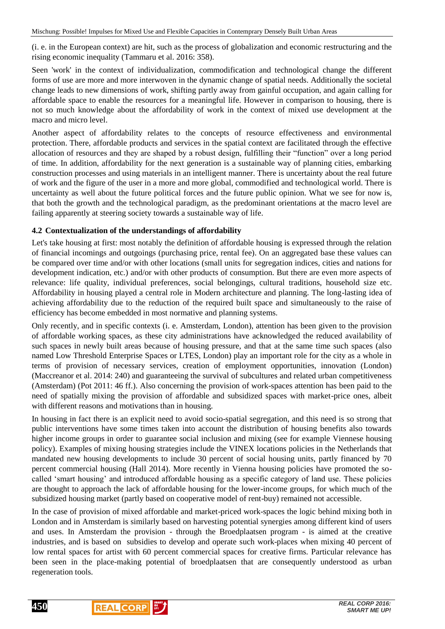(i. e. in the European context) are hit, such as the process of globalization and economic restructuring and the rising economic inequality (Tammaru et al. 2016: 358).

Seen 'work' in the context of individualization, commodification and technological change the different forms of use are more and more interwoven in the dynamic change of spatial needs. Additionally the societal change leads to new dimensions of work, shifting partly away from gainful occupation, and again calling for affordable space to enable the resources for a meaningful life. However in comparison to housing, there is not so much knowledge about the affordability of work in the context of mixed use development at the macro and micro level.

Another aspect of affordability relates to the concepts of resource effectiveness and environmental protection. There, affordable products and services in the spatial context are facilitated through the effective allocation of resources and they are shaped by a robust design, fulfilling their "function" over a long period of time. In addition, affordability for the next generation is a sustainable way of planning cities, embarking construction processes and using materials in an intelligent manner. There is uncertainty about the real future of work and the figure of the user in a more and more global, commodified and technological world. There is uncertainty as well about the future political forces and the future public opinion. What we see for now is, that both the growth and the technological paradigm, as the predominant orientations at the macro level are failing apparently at steering society towards a sustainable way of life.

## **4.2 Contextualization of the understandings of affordability**

Let's take housing at first: most notably the definition of affordable housing is expressed through the relation of financial incomings and outgoings (purchasing price, rental fee). On an aggregated base these values can be compared over time and/or with other locations (small units for segregation indices, cities and nations for development indication, etc.) and/or with other products of consumption. But there are even more aspects of relevance: life quality, individual preferences, social belongings, cultural traditions, household size etc. Affordability in housing played a central role in Modern architecture and planning. The long-lasting idea of achieving affordability due to the reduction of the required built space and simultaneously to the raise of efficiency has become embedded in most normative and planning systems.

Only recently, and in specific contexts (i. e. Amsterdam, London), attention has been given to the provision of affordable working spaces, as these city administrations have acknowledged the reduced availability of such spaces in newly built areas because of housing pressure, and that at the same time such spaces (also named Low Threshold Enterprise Spaces or LTES, London) play an important role for the city as a whole in terms of provision of necessary services, creation of employment opportunities, innovation (London) (Maccreanor et al. 2014: 240) and guaranteeing the survival of subcultures and related urban competitiveness (Amsterdam) (Pot 2011: 46 ff.). Also concerning the provision of work-spaces attention has been paid to the need of spatially mixing the provision of affordable and subsidized spaces with market-price ones, albeit with different reasons and motivations than in housing.

In housing in fact there is an explicit need to avoid socio-spatial segregation, and this need is so strong that public interventions have some times taken into account the distribution of housing benefits also towards higher income groups in order to guarantee social inclusion and mixing (see for example Viennese housing policy). Examples of mixing housing strategies include the VINEX locations policies in the Netherlands that mandated new housing developments to include 30 percent of social housing units, partly financed by 70 percent commercial housing (Hall 2014). More recently in Vienna housing policies have promoted the socalled 'smart housing' and introduced affordable housing as a specific category of land use. These policies are thought to approach the lack of affordable housing for the lower-income groups, for which much of the subsidized housing market (partly based on cooperative model of rent-buy) remained not accessible.

In the case of provision of mixed affordable and market-priced work-spaces the logic behind mixing both in London and in Amsterdam is similarly based on harvesting potential synergies among different kind of users and uses. In Amsterdam the provision - through the Broedplaatsen program - is aimed at the creative industries, and is based on subsidies to develop and operate such work-places when mixing 40 percent of low rental spaces for artist with 60 percent commercial spaces for creative firms. Particular relevance has been seen in the place-making potential of broedplaatsen that are consequently understood as urban regeneration tools.



**450**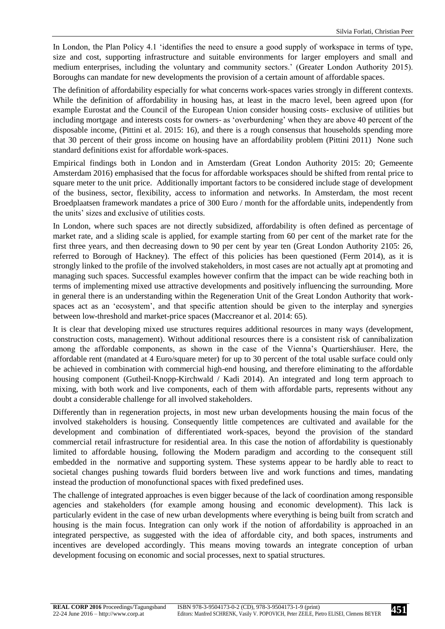In London, the Plan Policy 4.1 ‗identifies the need to ensure a good supply of workspace in terms of type, size and cost, supporting infrastructure and suitable environments for larger employers and small and medium enterprises, including the voluntary and community sectors.' (Greater London Authority 2015). Boroughs can mandate for new developments the provision of a certain amount of affordable spaces.

The definition of affordability especially for what concerns work-spaces varies strongly in different contexts. While the definition of affordability in housing has, at least in the macro level, been agreed upon (for example Eurostat and the Council of the European Union consider housing costs- exclusive of utilities but including mortgage and interests costs for owners- as 'overburdening' when they are above 40 percent of the disposable income, (Pittini et al. 2015: 16), and there is a rough consensus that households spending more that 30 percent of their gross income on housing have an affordability problem (Pittini 2011) None such standard definitions exist for affordable work-spaces.

Empirical findings both in London and in Amsterdam (Great London Authority 2015: 20; Gemeente Amsterdam 2016) emphasised that the focus for affordable workspaces should be shifted from rental price to square meter to the unit price. Additionally important factors to be considered include stage of development of the business, sector, flexibility, access to information and networks. In Amsterdam, the most recent Broedplaatsen framework mandates a price of 300 Euro / month for the affordable units, independently from the units' sizes and exclusive of utilities costs.

In London, where such spaces are not directly subsidized, affordability is often defined as percentage of market rate, and a sliding scale is applied, for example starting from 60 per cent of the market rate for the first three years, and then decreasing down to 90 per cent by year ten (Great London Authority 2105: 26, referred to Borough of Hackney). The effect of this policies has been questioned (Ferm 2014), as it is strongly linked to the profile of the involved stakeholders, in most cases are not actually apt at promoting and managing such spaces. Successful examples however confirm that the impact can be wide reaching both in terms of implementing mixed use attractive developments and positively influencing the surrounding. More in general there is an understanding within the Regeneration Unit of the Great London Authority that workspaces act as an 'ecosystem', and that specific attention should be given to the interplay and synergies between low-threshold and market-price spaces (Maccreanor et al. 2014: 65).

It is clear that developing mixed use structures requires additional resources in many ways (development, construction costs, management). Without additional resources there is a consistent risk of cannibalization among the affordable components, as shown in the case of the Vienna's Quartiershäuser. Here, the affordable rent (mandated at 4 Euro/square meter) for up to 30 percent of the total usable surface could only be achieved in combination with commercial high-end housing, and therefore eliminating to the affordable housing component (Gutheil-Knopp-Kirchwald / Kadi 2014). An integrated and long term approach to mixing, with both work and live components, each of them with affordable parts, represents without any doubt a considerable challenge for all involved stakeholders.

Differently than in regeneration projects, in most new urban developments housing the main focus of the involved stakeholders is housing. Consequently little competences are cultivated and available for the development and combination of differentiated work-spaces, beyond the provision of the standard commercial retail infrastructure for residential area. In this case the notion of affordability is questionably limited to affordable housing, following the Modern paradigm and according to the consequent still embedded in the normative and supporting system. These systems appear to be hardly able to react to societal changes pushing towards fluid borders between live and work functions and times, mandating instead the production of monofunctional spaces with fixed predefined uses.

The challenge of integrated approaches is even bigger because of the lack of coordination among responsible agencies and stakeholders (for example among housing and economic development). This lack is particularly evident in the case of new urban developments where everything is being built from scratch and housing is the main focus. Integration can only work if the notion of affordability is approached in an integrated perspective, as suggested with the idea of affordable city, and both spaces, instruments and incentives are developed accordingly. This means moving towards an integrate conception of urban development focusing on economic and social processes, next to spatial structures.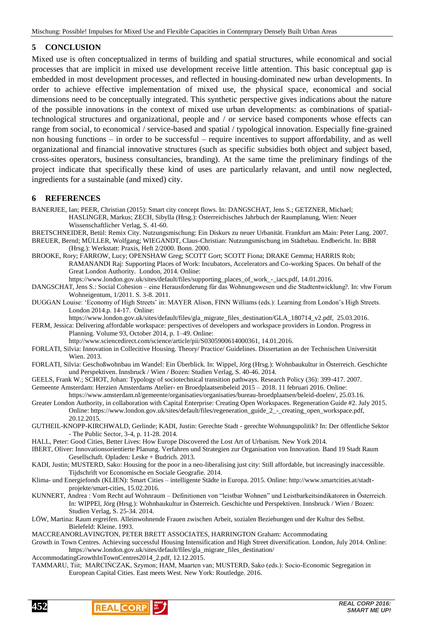### **5 CONCLUSION**

Mixed use is often conceptualized in terms of building and spatial structures, while economical and social processes that are implicit in mixed use development receive little attention. This basic conceptual gap is embedded in most development processes, and reflected in housing-dominated new urban developments. In order to achieve effective implementation of mixed use, the physical space, economical and social dimensions need to be conceptually integrated. This synthetic perspective gives indications about the nature of the possible innovations in the context of mixed use urban developments: as combinations of spatialtechnological structures and organizational, people and / or service based components whose effects can range from social, to economical / service-based and spatial / typological innovation. Especially fine-grained non housing functions – in order to be successful – require incentives to support affordability, and as well organizational and financial innovative structures (such as specific subsidies both object and subject based, cross-sites operators, business consultancies, branding). At the same time the preliminary findings of the project indicate that specifically these kind of uses are particularly relavant, and until now neglected, ingredients for a sustainable (and mixed) city.

#### **6 REFERENCES**

BANERJEE, Ian; PEER, Christian (2015): Smart city concept flows. In: DANGSCHAT, Jens S.; GETZNER, Michael; HASLINGER, Markus; ZECH, Sibylla (Hrsg.): Österreichisches Jahrbuch der Raumplanung, Wien: Neuer Wissenschaftlicher Verlag, S. 41-60.

- BRETSCHNEIDER, Betül: Remix City. Nutzungsmischung: Ein Diskurs zu neuer Urbanität. Frankfurt am Main: Peter Lang. 2007. BREUER, Bernd; MÜLLER, Wolfgang; WIEGANDT, Claus-Christian: Nutzungsmischung im Städtebau. Endbericht. In: BBR
- (Hrsg.): Werkstatt: Praxis, Heft 2/2000. Bonn. 2000. BROOKE, Rory; FARROW, Lucy; OPENSHAW Greg; SCOTT Gort; SCOTT Fiona; DRAKE Gemma; HARRIS Rob; RAMANANDI Raj: Supporting Places of Work: Incubators, Accelerators and Co-working Spaces. On behalf of the Great London Authority. London, 2014. Online:
	- https://www.london.gov.uk/sites/default/files/supporting\_places\_of\_work\_-\_iacs.pdf, 14.01.2016.
- DANGSCHAT, Jens S.: Social Cohesion eine Herausforderung für das Wohnungswesen und die Stadtentwicklung?. In: vhw Forum Wohneigentum, 1/2011. S. 3-8. 2011.
- DUGGAN Louise: ‗Economy of High Streets' in: MAYER Alison, FINN Williams (eds.): Learning from London's High Streets. London 2014.p. 14-17. Online:
- https://www.london.gov.uk/sites/default/files/gla\_migrate\_files\_destination/GLA\_180714\_v2.pdf, 25.03.2016.

FERM, Jessica: Delivering affordable workspace: perspectives of developers and workspace providers in London. Progress in Planning. Volume 93, October 2014, p. 1–49. Online:

http://www.sciencedirect.com/science/article/pii/S0305900614000361, 14.01.2016.

- FORLATI, Silvia: Innovation in Collecitive Housing. Theory/ Practice/ Guidelines. Dissertation an der Technischen Universität Wien. 2013.
- FORLATI, Silvia: Geschoßwohnbau im Wandel: Ein Überblick. In: Wippel, Jörg (Hrsg.): Wohnbaukultur in Österreich. Geschichte und Perspektiven. Innsbruck / Wien / Bozen: Studien Verlag, S. 40-46. 2014.
- GEELS, Frank W.; SCHOT, Johan: Typology of sociotechnical transition pathways. Research Policy (36): 399-417. 2007.

Gemeente Amsterdam: Herzien Amsterdams Atelier- en Broedplaatsenbeleid 2015 – 2018. 11 februari 2016. Online:

https://www.amsterdam.nl/gemeente/organisaties/organisaties/bureau-broedplaatsen/beleid-doelen/, 25.03.16. Greater London Authority, in collaboration with Capital Enterprise: Creating Open Workspaces. Regeneration Guide #2. July 2015. Online: https://www.london.gov.uk/sites/default/files/regeneration\_guide\_2\_-\_creating\_open\_workspace.pdf, 20.12.2015.

GUTHEIL-KNOPP-KIRCHWALD, Gerlinde; KADI, Justin: Gerechte Stadt - gerechte Wohnungspolitik? In: Der öffentliche Sektor - The Public Sector, 3-4, p. 11-28. 2014.

HALL, Peter: Good Cities, Better Lives: How Europe Discovered the Lost Art of Urbanism. New York 2014.

- IBERT, Oliver: Innovationsorientierte Planung. Verfahren und Strategien zur Organisation von Innovation. Band 19 Stadt Raum Gesellschaft. Opladen: Leske + Budrich. 2013.
- KADI, Justin; MUSTERD, Sako: Housing for the poor in a neo-liberalising just city: Still affordable, but increasingly inaccessible. Tijdschrift vor Economische en Sociale Geografie. 2014.

Klima- und Energiefonds (KLIEN): Smart Cities – intelligente Städte in Europa. 2015. Online: http://www.smartcities.at/stadtprojekte/smart-cities, 15.02.2016.

- KUNNERT, Andrea : Vom Recht auf Wohnraum Definitionen von "leistbar Wohnen" und Leistbarkeitsindikatoren in Österreich. In: WIPPEl, Jörg (Hrsg.): Wohnbaukultur in Österreich. Geschichte und Perspektiven. Innsbruck / Wien / Bozen: Studien Verlag, S. 25-34. 2014.
- LÖW, Martina: Raum ergreifen. Alleinwohnende Frauen zwischen Arbeit, sozialen Beziehungen und der Kultur des Selbst. Bielefeld: Kleine. 1993.

MACCREANORLAVINGTON, PETER BRETT ASSOCIATES, HARRINGTON Graham: Accommodating

- Growth in Town Centres. Achieving successful Housing Intensification and High Street diversification. London, July 2014. Online: https://www.london.gov.uk/sites/default/files/gla\_migrate\_files\_destination/
- AccommodatingGrowthInTownCentres2014\_2.pdf, 12.12.2015.
- TAMMARU, Tiit; MARCIŃCZAK, Szymon; HAM, Maarten van; MUSTERD, Sako (eds.): Socio-Economic Segregation in European Capital Cities. East meets West. New York: Routledge. 2016.